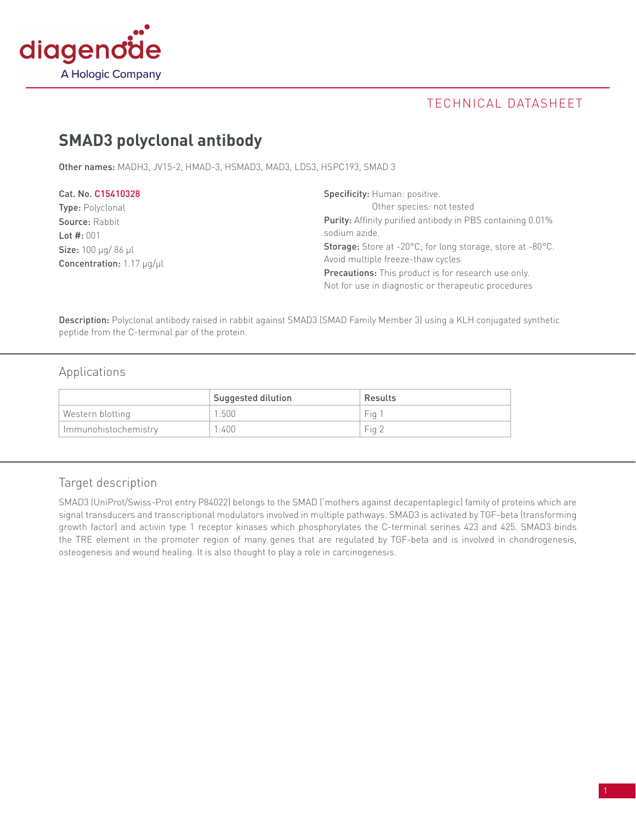

# technical datasheet

# **SMAD3 polyclonal antibody**

Other names: MADH3, JV15-2, HMAD-3, HSMAD3, MAD3, LDS3, HSPC193, SMAD 3

| Cat. No. C15410328                          | <b>Specificity:</b> Human: positive.                              |  |
|---------------------------------------------|-------------------------------------------------------------------|--|
| <b>Type:</b> Polyclonal                     | Other species: not tested                                         |  |
| Source: Rabbit                              | <b>Purity:</b> Affinity purified antibody in PBS containing 0.01% |  |
| Lot $#: 001$                                | sodium azide.                                                     |  |
| <b>Size:</b> $100 \mu q / 86 \mu l$         | <b>Storage:</b> Store at -20°C; for long storage, store at -80°C. |  |
| <b>Concentration:</b> 1.17 $\mu$ g/ $\mu$ l | Avoid multiple freeze-thaw cycles                                 |  |
|                                             | <b>Precautions:</b> This product is for research use only.        |  |
|                                             | Not for use in diagnostic or therapeutic procedures               |  |

Description: Polyclonal antibody raised in rabbit against SMAD3 (SMAD Family Member 3) using a KLH conjugated synthetic peptide from the C-terminal par of the protein.

## Applications

|                      | Suggested dilution | Results |
|----------------------|--------------------|---------|
| Western blotting     | 1:500              | Fia 1   |
| Immunohistochemistry | 1:400              | Fig 2   |

## Target description

SMAD3 (UniProt/Swiss-Prot entry P84022) belongs to the SMAD ('mothers against decapentaplegic) family of proteins which are signal transducers and transcriptional modulators involved in multiple pathways. SMAD3 is activated by TGF-beta (transforming growth factor) and activin type 1 receptor kinases which phosphorylates the C-terminal serines 423 and 425. SMAD3 binds the TRE element in the promoter region of many genes that are regulated by TGF-beta and is involved in chondrogenesis, osteogenesis and wound healing. It is also thought to play a role in carcinogenesis.